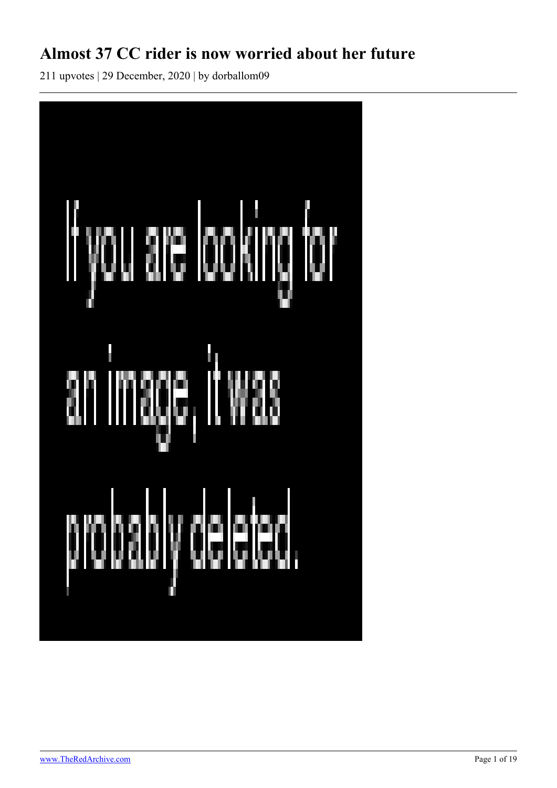## **Almost 37 CC rider is now worried about her future**

211 upvotes | 29 December, 2020 | by dorballom09

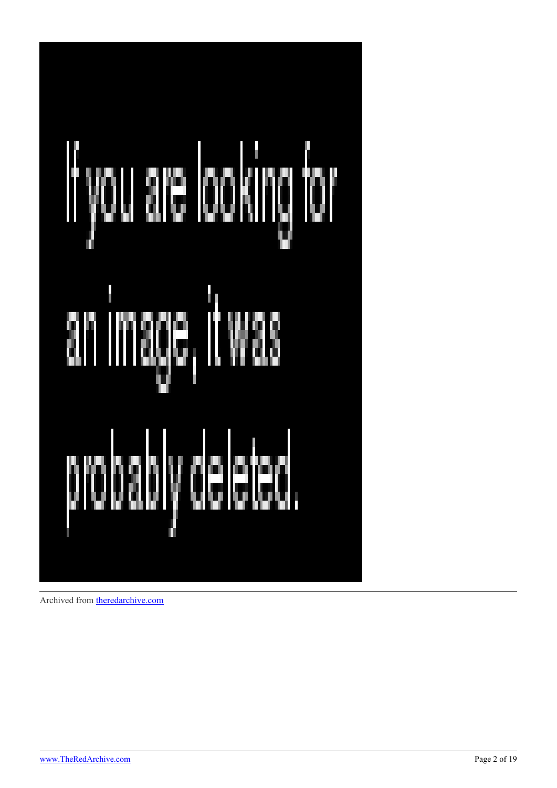

Archived from [theredarchive.com](https://theredarchive.com/r/WhereAreAllTheGoodMen/almost-37-cc-rider-is-now-worried-about-her-future.354494)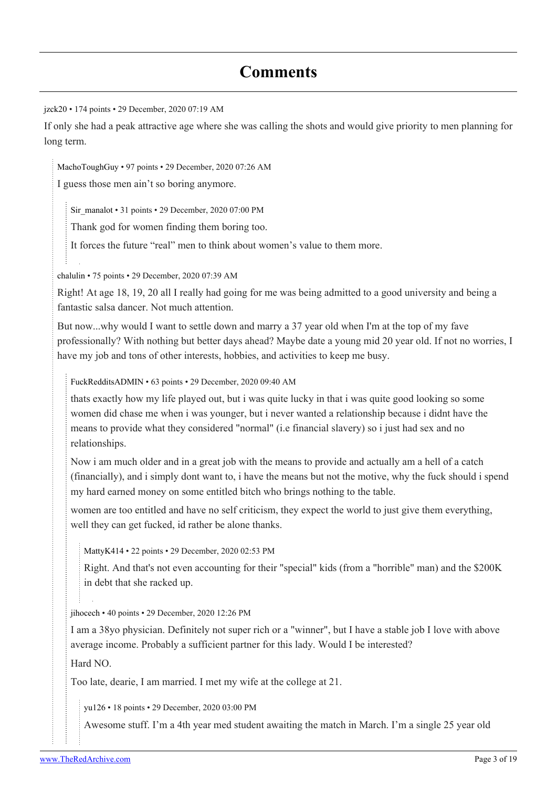### **Comments**

[jzck20](https://old.reddit.com/user/jzck20) • 174 points • 29 December, 2020 07:19 AM

If only she had a peak attractive age where she was calling the shots and would give priority to men planning for long term.

[MachoToughGuy](https://old.reddit.com/user/MachoToughGuy) • 97 points • 29 December, 2020 07:26 AM

I guess those men ain't so boring anymore.

[Sir\\_manalot](https://old.reddit.com/user/Sir_manalot) • 31 points • 29 December, 2020 07:00 PM

Thank god for women finding them boring too.

It forces the future "real" men to think about women's value to them more.

[chalulin](https://old.reddit.com/user/chalulin) • 75 points • 29 December, 2020 07:39 AM

Right! At age 18, 19, 20 all I really had going for me was being admitted to a good university and being a fantastic salsa dancer. Not much attention.

But now...why would I want to settle down and marry a 37 year old when I'm at the top of my fave professionally? With nothing but better days ahead? Maybe date a young mid 20 year old. If not no worries, I have my job and tons of other interests, hobbies, and activities to keep me busy.

[FuckRedditsADMIN](https://old.reddit.com/user/FuckRedditsADMIN) • 63 points • 29 December, 2020 09:40 AM

thats exactly how my life played out, but i was quite lucky in that i was quite good looking so some women did chase me when i was younger, but i never wanted a relationship because i didnt have the means to provide what they considered "normal" (i.e financial slavery) so i just had sex and no relationships.

Now i am much older and in a great job with the means to provide and actually am a hell of a catch (financially), and i simply dont want to, i have the means but not the motive, why the fuck should i spend my hard earned money on some entitled bitch who brings nothing to the table.

women are too entitled and have no self criticism, they expect the world to just give them everything, well they can get fucked, id rather be alone thanks.

[MattyK414](https://old.reddit.com/user/MattyK414) • 22 points • 29 December, 2020 02:53 PM

Right. And that's not even accounting for their "special" kids (from a "horrible" man) and the \$200K in debt that she racked up.

[jihocech](https://old.reddit.com/user/jihocech) • 40 points • 29 December, 2020 12:26 PM

I am a 38yo physician. Definitely not super rich or a "winner", but I have a stable job I love with above average income. Probably a sufficient partner for this lady. Would I be interested?

Hard NO.

Too late, dearie, I am married. I met my wife at the college at 21.

[yu126](https://old.reddit.com/user/yu126) • 18 points • 29 December, 2020 03:00 PM

Awesome stuff. I'm a 4th year med student awaiting the match in March. I'm a single 25 year old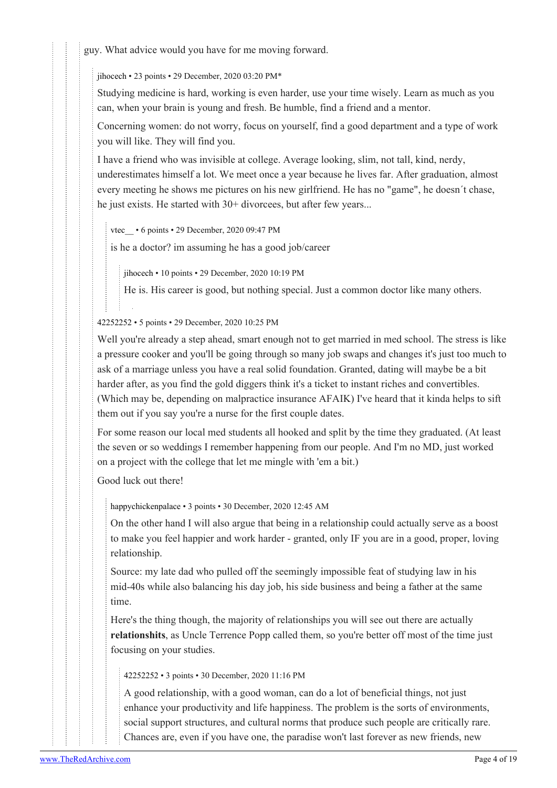guy. What advice would you have for me moving forward.

[jihocech](https://old.reddit.com/user/jihocech) • 23 points • 29 December, 2020 03:20 PM\*

Studying medicine is hard, working is even harder, use your time wisely. Learn as much as you can, when your brain is young and fresh. Be humble, find a friend and a mentor.

Concerning women: do not worry, focus on yourself, find a good department and a type of work you will like. They will find you.

I have a friend who was invisible at college. Average looking, slim, not tall, kind, nerdy, underestimates himself a lot. We meet once a year because he lives far. After graduation, almost every meeting he shows me pictures on his new girlfriend. He has no "game", he doesn´t chase, he just exists. He started with 30+ divorcees, but after few years...

[vtec\\_\\_](https://old.reddit.com/user/vtec__) • 6 points • 29 December, 2020 09:47 PM

is he a doctor? im assuming he has a good job/career

[jihocech](https://old.reddit.com/user/jihocech) • 10 points • 29 December, 2020 10:19 PM

He is. His career is good, but nothing special. Just a common doctor like many others.

### [42252252](https://old.reddit.com/user/42252252) • 5 points • 29 December, 2020 10:25 PM

Well you're already a step ahead, smart enough not to get married in med school. The stress is like a pressure cooker and you'll be going through so many job swaps and changes it's just too much to ask of a marriage unless you have a real solid foundation. Granted, dating will maybe be a bit harder after, as you find the gold diggers think it's a ticket to instant riches and convertibles. (Which may be, depending on malpractice insurance AFAIK) I've heard that it kinda helps to sift them out if you say you're a nurse for the first couple dates.

For some reason our local med students all hooked and split by the time they graduated. (At least the seven or so weddings I remember happening from our people. And I'm no MD, just worked on a project with the college that let me mingle with 'em a bit.)

Good luck out there!

[happychickenpalace](https://old.reddit.com/user/happychickenpalace) • 3 points • 30 December, 2020 12:45 AM

On the other hand I will also argue that being in a relationship could actually serve as a boost to make you feel happier and work harder - granted, only IF you are in a good, proper, loving relationship.

Source: my late dad who pulled off the seemingly impossible feat of studying law in his mid-40s while also balancing his day job, his side business and being a father at the same time.

Here's the thing though, the majority of relationships you will see out there are actually **relationshits**, as Uncle Terrence Popp called them, so you're better off most of the time just focusing on your studies.

[42252252](https://old.reddit.com/user/42252252) • 3 points • 30 December, 2020 11:16 PM

A good relationship, with a good woman, can do a lot of beneficial things, not just enhance your productivity and life happiness. The problem is the sorts of environments, social support structures, and cultural norms that produce such people are critically rare. Chances are, even if you have one, the paradise won't last forever as new friends, new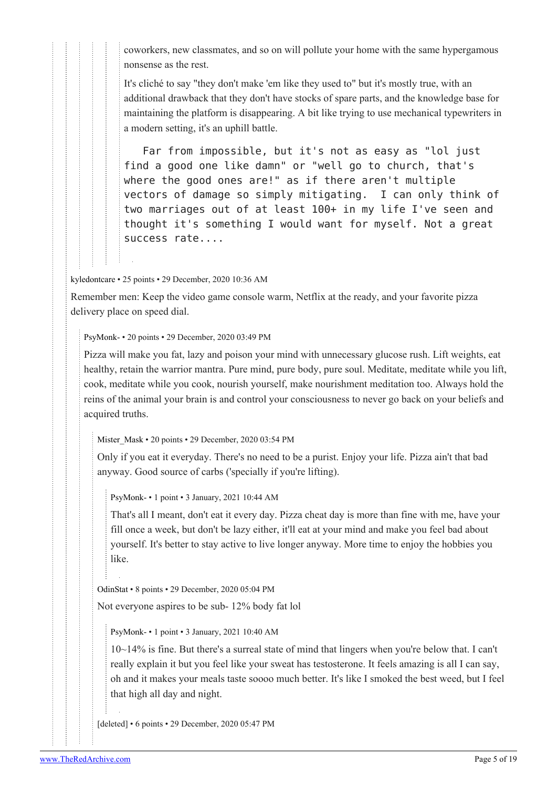coworkers, new classmates, and so on will pollute your home with the same hypergamous nonsense as the rest.

It's cliché to say "they don't make 'em like they used to" but it's mostly true, with an additional drawback that they don't have stocks of spare parts, and the knowledge base for maintaining the platform is disappearing. A bit like trying to use mechanical typewriters in a modern setting, it's an uphill battle.

 Far from impossible, but it's not as easy as "lol just find a good one like damn" or "well go to church, that's where the good ones are!" as if there aren't multiple vectors of damage so simply mitigating. I can only think of two marriages out of at least 100+ in my life I've seen and thought it's something I would want for myself. Not a great success rate....

[kyledontcare](https://old.reddit.com/user/kyledontcare) • 25 points • 29 December, 2020 10:36 AM

Remember men: Keep the video game console warm, Netflix at the ready, and your favorite pizza delivery place on speed dial.

[PsyMonk-](https://old.reddit.com/user/PsyMonk-) • 20 points • 29 December, 2020 03:49 PM

Pizza will make you fat, lazy and poison your mind with unnecessary glucose rush. Lift weights, eat healthy, retain the warrior mantra. Pure mind, pure body, pure soul. Meditate, meditate while you lift, cook, meditate while you cook, nourish yourself, make nourishment meditation too. Always hold the reins of the animal your brain is and control your consciousness to never go back on your beliefs and acquired truths.

[Mister\\_Mask](https://old.reddit.com/user/Mister_Mask) • 20 points • 29 December, 2020 03:54 PM

Only if you eat it everyday. There's no need to be a purist. Enjoy your life. Pizza ain't that bad anyway. Good source of carbs ('specially if you're lifting).

[PsyMonk-](https://old.reddit.com/user/PsyMonk-) • 1 point • 3 January, 2021 10:44 AM

That's all I meant, don't eat it every day. Pizza cheat day is more than fine with me, have your fill once a week, but don't be lazy either, it'll eat at your mind and make you feel bad about yourself. It's better to stay active to live longer anyway. More time to enjoy the hobbies you like.

[OdinStat](https://old.reddit.com/user/OdinStat) • 8 points • 29 December, 2020 05:04 PM

Not everyone aspires to be sub- 12% body fat lol

[PsyMonk-](https://old.reddit.com/user/PsyMonk-) • 1 point • 3 January, 2021 10:40 AM

10~14% is fine. But there's a surreal state of mind that lingers when you're below that. I can't really explain it but you feel like your sweat has testosterone. It feels amazing is all I can say, oh and it makes your meals taste soooo much better. It's like I smoked the best weed, but I feel that high all day and night.

[deleted] • 6 points • 29 December, 2020 05:47 PM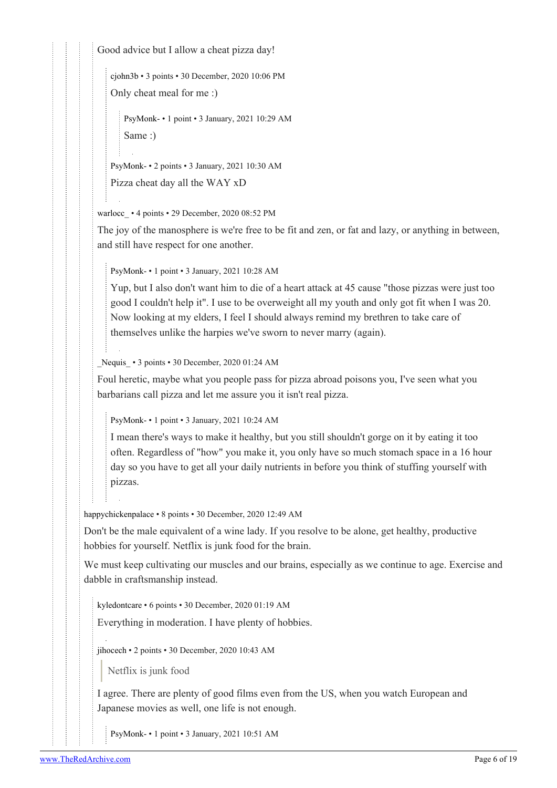Good advice but I allow a cheat pizza day!

[cjohn3b](https://old.reddit.com/user/cjohn3b) • 3 points • 30 December, 2020 10:06 PM

Only cheat meal for me :)

[PsyMonk-](https://old.reddit.com/user/PsyMonk-) • 1 point • 3 January, 2021 10:29 AM Same :)

[PsyMonk-](https://old.reddit.com/user/PsyMonk-) • 2 points • 3 January, 2021 10:30 AM

Pizza cheat day all the WAY xD

warlocc • 4 points • 29 December, 2020 08:52 PM

The joy of the manosphere is we're free to be fit and zen, or fat and lazy, or anything in between, and still have respect for one another.

[PsyMonk-](https://old.reddit.com/user/PsyMonk-) • 1 point • 3 January, 2021 10:28 AM

Yup, but I also don't want him to die of a heart attack at 45 cause "those pizzas were just too good I couldn't help it". I use to be overweight all my youth and only got fit when I was 20. Now looking at my elders, I feel I should always remind my brethren to take care of themselves unlike the harpies we've sworn to never marry (again).

[\\_Nequis\\_](https://old.reddit.com/user/_Nequis_) • 3 points • 30 December, 2020 01:24 AM

Foul heretic, maybe what you people pass for pizza abroad poisons you, I've seen what you barbarians call pizza and let me assure you it isn't real pizza.

[PsyMonk-](https://old.reddit.com/user/PsyMonk-) • 1 point • 3 January, 2021 10:24 AM

I mean there's ways to make it healthy, but you still shouldn't gorge on it by eating it too often. Regardless of "how" you make it, you only have so much stomach space in a 16 hour day so you have to get all your daily nutrients in before you think of stuffing yourself with pizzas.

[happychickenpalace](https://old.reddit.com/user/happychickenpalace) • 8 points • 30 December, 2020 12:49 AM

Don't be the male equivalent of a wine lady. If you resolve to be alone, get healthy, productive hobbies for yourself. Netflix is junk food for the brain.

We must keep cultivating our muscles and our brains, especially as we continue to age. Exercise and dabble in craftsmanship instead.

[kyledontcare](https://old.reddit.com/user/kyledontcare) • 6 points • 30 December, 2020 01:19 AM

Everything in moderation. I have plenty of hobbies.

[jihocech](https://old.reddit.com/user/jihocech) • 2 points • 30 December, 2020 10:43 AM

Netflix is junk food

I agree. There are plenty of good films even from the US, when you watch European and Japanese movies as well, one life is not enough.

[PsyMonk-](https://old.reddit.com/user/PsyMonk-) • 1 point • 3 January, 2021 10:51 AM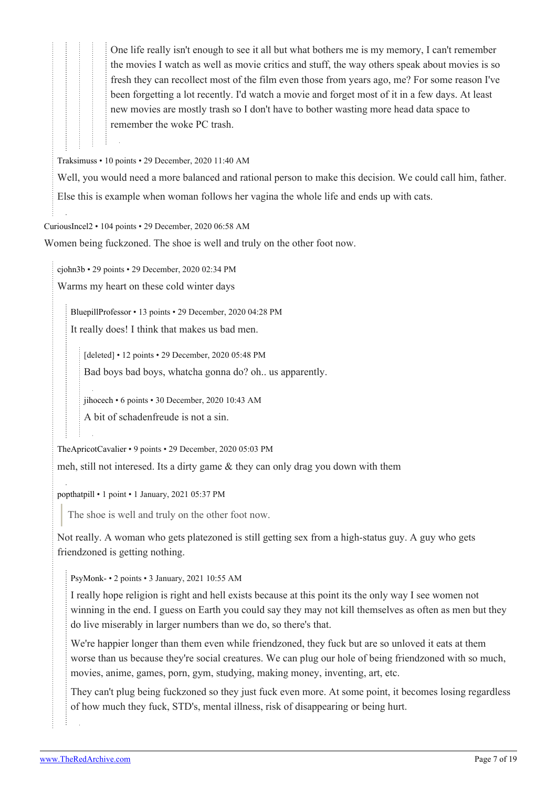One life really isn't enough to see it all but what bothers me is my memory, I can't remember the movies I watch as well as movie critics and stuff, the way others speak about movies is so fresh they can recollect most of the film even those from years ago, me? For some reason I've been forgetting a lot recently. I'd watch a movie and forget most of it in a few days. At least new movies are mostly trash so I don't have to bother wasting more head data space to remember the woke PC trash.

[Traksimuss](https://old.reddit.com/user/Traksimuss) • 10 points • 29 December, 2020 11:40 AM

Well, you would need a more balanced and rational person to make this decision. We could call him, father. Else this is example when woman follows her vagina the whole life and ends up with cats.

[CuriousIncel2](https://old.reddit.com/user/CuriousIncel2) • 104 points • 29 December, 2020 06:58 AM

Women being fuckzoned. The shoe is well and truly on the other foot now.

[cjohn3b](https://old.reddit.com/user/cjohn3b) • 29 points • 29 December, 2020 02:34 PM

Warms my heart on these cold winter days

[BluepillProfessor](https://old.reddit.com/user/BluepillProfessor) • 13 points • 29 December, 2020 04:28 PM It really does! I think that makes us bad men.

[deleted] • 12 points • 29 December, 2020 05:48 PM Bad boys bad boys, whatcha gonna do? oh.. us apparently.

[jihocech](https://old.reddit.com/user/jihocech) • 6 points • 30 December, 2020 10:43 AM

A bit of schadenfreude is not a sin.

[TheApricotCavalier](https://old.reddit.com/user/TheApricotCavalier) • 9 points • 29 December, 2020 05:03 PM

meh, still not interesed. Its a dirty game & they can only drag you down with them

[popthatpill](https://old.reddit.com/user/popthatpill) • 1 point • 1 January, 2021 05:37 PM

The shoe is well and truly on the other foot now.

Not really. A woman who gets platezoned is still getting sex from a high-status guy. A guy who gets friendzoned is getting nothing.

[PsyMonk-](https://old.reddit.com/user/PsyMonk-) • 2 points • 3 January, 2021 10:55 AM

I really hope religion is right and hell exists because at this point its the only way I see women not winning in the end. I guess on Earth you could say they may not kill themselves as often as men but they do live miserably in larger numbers than we do, so there's that.

We're happier longer than them even while friendzoned, they fuck but are so unloved it eats at them worse than us because they're social creatures. We can plug our hole of being friendzoned with so much, movies, anime, games, porn, gym, studying, making money, inventing, art, etc.

They can't plug being fuckzoned so they just fuck even more. At some point, it becomes losing regardless of how much they fuck, STD's, mental illness, risk of disappearing or being hurt.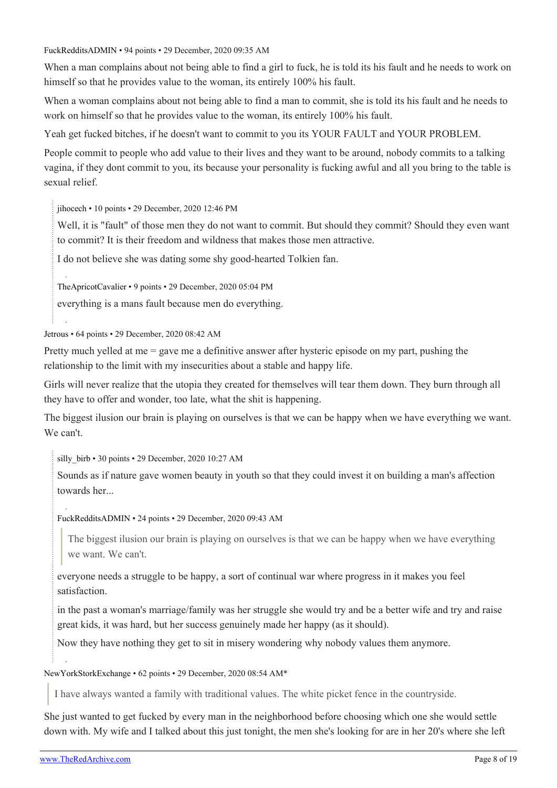[FuckRedditsADMIN](https://old.reddit.com/user/FuckRedditsADMIN) • 94 points • 29 December, 2020 09:35 AM

When a man complains about not being able to find a girl to fuck, he is told its his fault and he needs to work on himself so that he provides value to the woman, its entirely 100% his fault.

When a woman complains about not being able to find a man to commit, she is told its his fault and he needs to work on himself so that he provides value to the woman, its entirely 100% his fault.

Yeah get fucked bitches, if he doesn't want to commit to you its YOUR FAULT and YOUR PROBLEM.

People commit to people who add value to their lives and they want to be around, nobody commits to a talking vagina, if they dont commit to you, its because your personality is fucking awful and all you bring to the table is sexual relief.

[jihocech](https://old.reddit.com/user/jihocech) • 10 points • 29 December, 2020 12:46 PM

Well, it is "fault" of those men they do not want to commit. But should they commit? Should they even want to commit? It is their freedom and wildness that makes those men attractive.

I do not believe she was dating some shy good-hearted Tolkien fan.

[TheApricotCavalier](https://old.reddit.com/user/TheApricotCavalier) • 9 points • 29 December, 2020 05:04 PM

everything is a mans fault because men do everything.

[Jetrous](https://old.reddit.com/user/Jetrous) • 64 points • 29 December, 2020 08:42 AM

Pretty much yelled at me = gave me a definitive answer after hysteric episode on my part, pushing the relationship to the limit with my insecurities about a stable and happy life.

Girls will never realize that the utopia they created for themselves will tear them down. They burn through all they have to offer and wonder, too late, what the shit is happening.

The biggest ilusion our brain is playing on ourselves is that we can be happy when we have everything we want. We can't.

silly birb • 30 points • 29 December, 2020 10:27 AM

Sounds as if nature gave women beauty in youth so that they could invest it on building a man's affection towards her...

[FuckRedditsADMIN](https://old.reddit.com/user/FuckRedditsADMIN) • 24 points • 29 December, 2020 09:43 AM

The biggest ilusion our brain is playing on ourselves is that we can be happy when we have everything we want. We can't.

everyone needs a struggle to be happy, a sort of continual war where progress in it makes you feel satisfaction.

in the past a woman's marriage/family was her struggle she would try and be a better wife and try and raise great kids, it was hard, but her success genuinely made her happy (as it should).

Now they have nothing they get to sit in misery wondering why nobody values them anymore.

[NewYorkStorkExchange](https://old.reddit.com/user/NewYorkStorkExchange) • 62 points • 29 December, 2020 08:54 AM\*

I have always wanted a family with traditional values. The white picket fence in the countryside.

She just wanted to get fucked by every man in the neighborhood before choosing which one she would settle down with. My wife and I talked about this just tonight, the men she's looking for are in her 20's where she left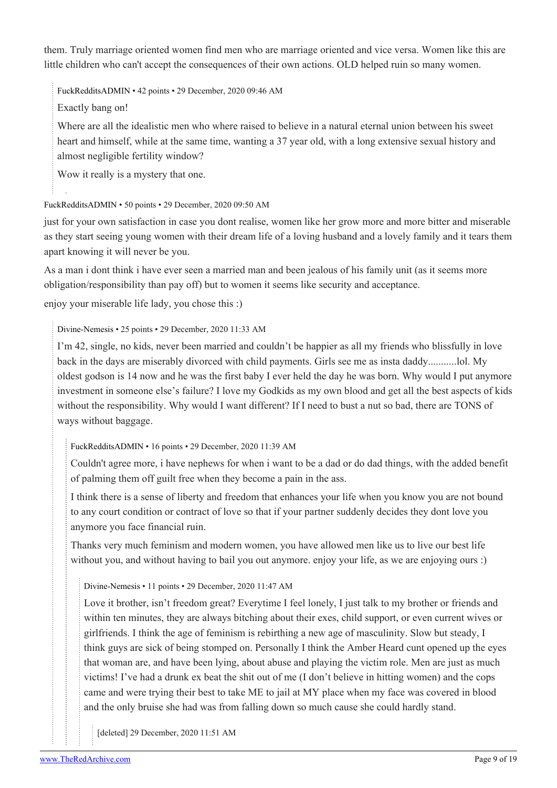them. Truly marriage oriented women find men who are marriage oriented and vice versa. Women like this are little children who can't accept the consequences of their own actions. OLD helped ruin so many women.

[FuckRedditsADMIN](https://old.reddit.com/user/FuckRedditsADMIN) • 42 points • 29 December, 2020 09:46 AM

Exactly bang on!

Where are all the idealistic men who where raised to believe in a natural eternal union between his sweet heart and himself, while at the same time, wanting a 37 year old, with a long extensive sexual history and almost negligible fertility window?

Wow it really is a mystery that one.

### [FuckRedditsADMIN](https://old.reddit.com/user/FuckRedditsADMIN) • 50 points • 29 December, 2020 09:50 AM

just for your own satisfaction in case you dont realise, women like her grow more and more bitter and miserable as they start seeing young women with their dream life of a loving husband and a lovely family and it tears them apart knowing it will never be you.

As a man i dont think i have ever seen a married man and been jealous of his family unit (as it seems more obligation/responsibility than pay off) but to women it seems like security and acceptance.

enjoy your miserable life lady, you chose this :)

### [Divine-Nemesis](https://old.reddit.com/user/Divine-Nemesis) • 25 points • 29 December, 2020 11:33 AM

I'm 42, single, no kids, never been married and couldn't be happier as all my friends who blissfully in love back in the days are miserably divorced with child payments. Girls see me as insta daddy...........lol. My oldest godson is 14 now and he was the first baby I ever held the day he was born. Why would I put anymore investment in someone else's failure? I love my Godkids as my own blood and get all the best aspects of kids without the responsibility. Why would I want different? If I need to bust a nut so bad, there are TONS of ways without baggage.

[FuckRedditsADMIN](https://old.reddit.com/user/FuckRedditsADMIN) • 16 points • 29 December, 2020 11:39 AM

Couldn't agree more, i have nephews for when i want to be a dad or do dad things, with the added benefit of palming them off guilt free when they become a pain in the ass.

I think there is a sense of liberty and freedom that enhances your life when you know you are not bound to any court condition or contract of love so that if your partner suddenly decides they dont love you anymore you face financial ruin.

Thanks very much feminism and modern women, you have allowed men like us to live our best life without you, and without having to bail you out anymore. enjoy your life, as we are enjoying ours :)

[Divine-Nemesis](https://old.reddit.com/user/Divine-Nemesis) • 11 points • 29 December, 2020 11:47 AM

Love it brother, isn't freedom great? Everytime I feel lonely, I just talk to my brother or friends and within ten minutes, they are always bitching about their exes, child support, or even current wives or girlfriends. I think the age of feminism is rebirthing a new age of masculinity. Slow but steady, I think guys are sick of being stomped on. Personally I think the Amber Heard cunt opened up the eyes that woman are, and have been lying, about abuse and playing the victim role. Men are just as much victims! I've had a drunk ex beat the shit out of me (I don't believe in hitting women) and the cops came and were trying their best to take ME to jail at MY place when my face was covered in blood and the only bruise she had was from falling down so much cause she could hardly stand.

[deleted] 29 December, 2020 11:51 AM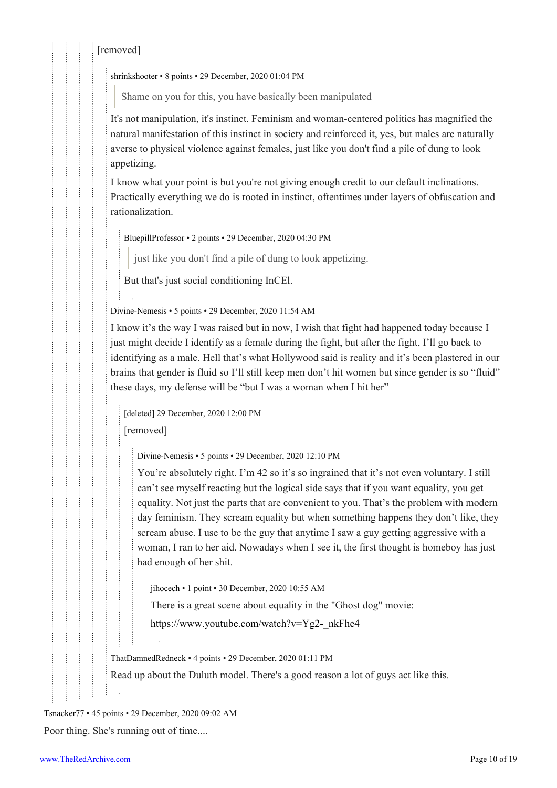### [removed]

[shrinkshooter](https://old.reddit.com/user/shrinkshooter) • 8 points • 29 December, 2020 01:04 PM

Shame on you for this, you have basically been manipulated

It's not manipulation, it's instinct. Feminism and woman-centered politics has magnified the natural manifestation of this instinct in society and reinforced it, yes, but males are naturally averse to physical violence against females, just like you don't find a pile of dung to look appetizing.

I know what your point is but you're not giving enough credit to our default inclinations. Practically everything we do is rooted in instinct, oftentimes under layers of obfuscation and rationalization.

[BluepillProfessor](https://old.reddit.com/user/BluepillProfessor) • 2 points • 29 December, 2020 04:30 PM

just like you don't find a pile of dung to look appetizing.

But that's just social conditioning InCEl.

[Divine-Nemesis](https://old.reddit.com/user/Divine-Nemesis) • 5 points • 29 December, 2020 11:54 AM

I know it's the way I was raised but in now, I wish that fight had happened today because I just might decide I identify as a female during the fight, but after the fight, I'll go back to identifying as a male. Hell that's what Hollywood said is reality and it's been plastered in our brains that gender is fluid so I'll still keep men don't hit women but since gender is so "fluid" these days, my defense will be "but I was a woman when I hit her"

[deleted] 29 December, 2020 12:00 PM [removed]

[Divine-Nemesis](https://old.reddit.com/user/Divine-Nemesis) • 5 points • 29 December, 2020 12:10 PM

You're absolutely right. I'm 42 so it's so ingrained that it's not even voluntary. I still can't see myself reacting but the logical side says that if you want equality, you get equality. Not just the parts that are convenient to you. That's the problem with modern day feminism. They scream equality but when something happens they don't like, they scream abuse. I use to be the guy that anytime I saw a guy getting aggressive with a woman, I ran to her aid. Nowadays when I see it, the first thought is homeboy has just had enough of her shit.

[jihocech](https://old.reddit.com/user/jihocech) • 1 point • 30 December, 2020 10:55 AM

There is a great scene about equality in the "Ghost dog" movie:

[https://www.youtube.com/watch?v=Yg2-\\_nkFhe4](https://www.youtube.com/watch?v=Yg2-_nkFhe4)

[ThatDamnedRedneck](https://old.reddit.com/user/ThatDamnedRedneck) • 4 points • 29 December, 2020 01:11 PM

Read up about the Duluth model. There's a good reason a lot of guys act like this.

[Tsnacker77](https://old.reddit.com/user/Tsnacker77) • 45 points • 29 December, 2020 09:02 AM

Poor thing. She's running out of time....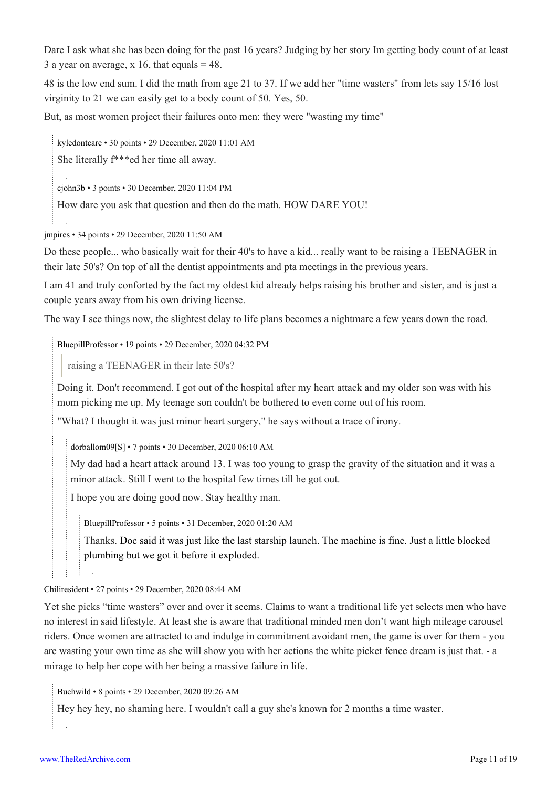Dare I ask what she has been doing for the past 16 years? Judging by her story Im getting body count of at least 3 a year on average, x 16, that equals  $= 48$ .

48 is the low end sum. I did the math from age 21 to 37. If we add her "time wasters" from lets say 15/16 lost virginity to 21 we can easily get to a body count of 50. Yes, 50.

But, as most women project their failures onto men: they were "wasting my time"

[kyledontcare](https://old.reddit.com/user/kyledontcare) • 30 points • 29 December, 2020 11:01 AM

She literally f\*\*\*ed her time all away.

[cjohn3b](https://old.reddit.com/user/cjohn3b) • 3 points • 30 December, 2020 11:04 PM

How dare you ask that question and then do the math. HOW DARE YOU!

[jmpires](https://old.reddit.com/user/jmpires) • 34 points • 29 December, 2020 11:50 AM

Do these people... who basically wait for their 40's to have a kid... really want to be raising a TEENAGER in their late 50's? On top of all the dentist appointments and pta meetings in the previous years.

I am 41 and truly conforted by the fact my oldest kid already helps raising his brother and sister, and is just a couple years away from his own driving license.

The way I see things now, the slightest delay to life plans becomes a nightmare a few years down the road.

[BluepillProfessor](https://old.reddit.com/user/BluepillProfessor) • 19 points • 29 December, 2020 04:32 PM

raising a TEENAGER in their late 50's?

Doing it. Don't recommend. I got out of the hospital after my heart attack and my older son was with his mom picking me up. My teenage son couldn't be bothered to even come out of his room.

"What? I thought it was just minor heart surgery," he says without a trace of irony.

[dorballom09\[](https://old.reddit.com/user/dorballom09)[S\]](https://theredarchive.com/r/WhereAreAllTheGoodMen/comments/km7i8d/almost_37_cc_rider_is_now_worried_about_her_future/) • 7 points • 30 December, 2020 06:10 AM

My dad had a heart attack around 13. I was too young to grasp the gravity of the situation and it was a minor attack. Still I went to the hospital few times till he got out.

I hope you are doing good now. Stay healthy man.

[BluepillProfessor](https://old.reddit.com/user/BluepillProfessor) • 5 points • 31 December, 2020 01:20 AM

Thanks. [Doc said it was just like the last starship launch. The machine is fine. Just a little blocked](https://www.theguardian.com/science/2020/dec/10/spacex-starship-sn8-explodes-on-landing-after-test-flight) [plumbing but we got it before it exploded.](https://www.theguardian.com/science/2020/dec/10/spacex-starship-sn8-explodes-on-landing-after-test-flight)

[Chiliresident](https://old.reddit.com/user/Chiliresident) • 27 points • 29 December, 2020 08:44 AM

Yet she picks "time wasters" over and over it seems. Claims to want a traditional life yet selects men who have no interest in said lifestyle. At least she is aware that traditional minded men don't want high mileage carousel riders. Once women are attracted to and indulge in commitment avoidant men, the game is over for them - you are wasting your own time as she will show you with her actions the white picket fence dream is just that. - a mirage to help her cope with her being a massive failure in life.

[Buchwild](https://old.reddit.com/user/Buchwild) • 8 points • 29 December, 2020 09:26 AM

Hey hey hey, no shaming here. I wouldn't call a guy she's known for 2 months a time waster.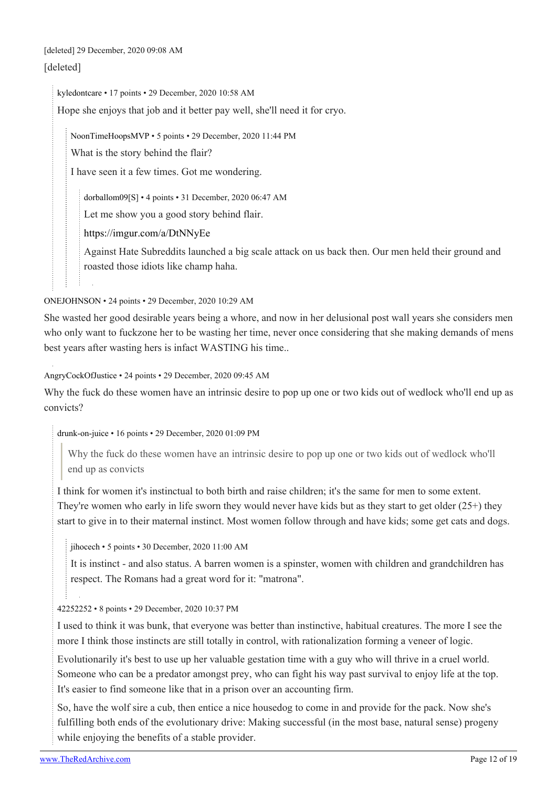# [deleted] 29 December, 2020 09:08 AM

### [deleted]

[kyledontcare](https://old.reddit.com/user/kyledontcare) • 17 points • 29 December, 2020 10:58 AM

Hope she enjoys that job and it better pay well, she'll need it for cryo.

[NoonTimeHoopsMVP](https://old.reddit.com/user/NoonTimeHoopsMVP) • 5 points • 29 December, 2020 11:44 PM

What is the story behind the flair?

I have seen it a few times. Got me wondering.

[dorballom09](https://old.reddit.com/user/dorballom09)[\[S](https://theredarchive.com/r/WhereAreAllTheGoodMen/comments/km7i8d/almost_37_cc_rider_is_now_worried_about_her_future/)] • 4 points • 31 December, 2020 06:47 AM

Let me show you a good story behind flair.

<https://imgur.com/a/DtNNyEe>

Against Hate Subreddits launched a big scale attack on us back then. Our men held their ground and roasted those idiots like champ haha.

[ONEJOHNSON](https://old.reddit.com/user/ONEJOHNSON) • 24 points • 29 December, 2020 10:29 AM

She wasted her good desirable years being a whore, and now in her delusional post wall years she considers men who only want to fuckzone her to be wasting her time, never once considering that she making demands of mens best years after wasting hers is infact WASTING his time..

[AngryCockOfJustice](https://old.reddit.com/user/AngryCockOfJustice) • 24 points • 29 December, 2020 09:45 AM

Why the fuck do these women have an intrinsic desire to pop up one or two kids out of wedlock who'll end up as convicts?

[drunk-on-juice](https://old.reddit.com/user/drunk-on-juice) • 16 points • 29 December, 2020 01:09 PM

Why the fuck do these women have an intrinsic desire to pop up one or two kids out of wedlock who'll end up as convicts

I think for women it's instinctual to both birth and raise children; it's the same for men to some extent. They're women who early in life sworn they would never have kids but as they start to get older  $(25+)$  they start to give in to their maternal instinct. Most women follow through and have kids; some get cats and dogs.

[jihocech](https://old.reddit.com/user/jihocech) • 5 points • 30 December, 2020 11:00 AM

It is instinct - and also status. A barren women is a spinster, women with children and grandchildren has respect. The Romans had a great word for it: "matrona".

[42252252](https://old.reddit.com/user/42252252) • 8 points • 29 December, 2020 10:37 PM

I used to think it was bunk, that everyone was better than instinctive, habitual creatures. The more I see the more I think those instincts are still totally in control, with rationalization forming a veneer of logic.

Evolutionarily it's best to use up her valuable gestation time with a guy who will thrive in a cruel world. Someone who can be a predator amongst prey, who can fight his way past survival to enjoy life at the top. It's easier to find someone like that in a prison over an accounting firm.

So, have the wolf sire a cub, then entice a nice housedog to come in and provide for the pack. Now she's fulfilling both ends of the evolutionary drive: Making successful (in the most base, natural sense) progeny while enjoying the benefits of a stable provider.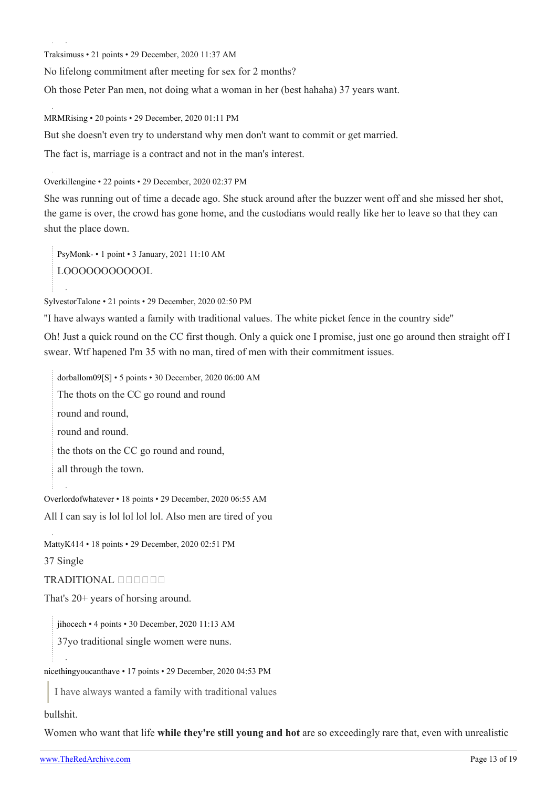[Traksimuss](https://old.reddit.com/user/Traksimuss) • 21 points • 29 December, 2020 11:37 AM

No lifelong commitment after meeting for sex for 2 months?

Oh those Peter Pan men, not doing what a woman in her (best hahaha) 37 years want.

[MRMRising](https://old.reddit.com/user/MRMRising) • 20 points • 29 December, 2020 01:11 PM

But she doesn't even try to understand why men don't want to commit or get married.

The fact is, marriage is a contract and not in the man's interest.

[Overkillengine](https://old.reddit.com/user/Overkillengine) • 22 points • 29 December, 2020 02:37 PM

She was running out of time a decade ago. She stuck around after the buzzer went off and she missed her shot, the game is over, the crowd has gone home, and the custodians would really like her to leave so that they can shut the place down.

[PsyMonk-](https://old.reddit.com/user/PsyMonk-) • 1 point • 3 January, 2021 11:10 AM LOOOOOOOOOOOL

[SylvestorTalone](https://old.reddit.com/user/SylvestorTalone) • 21 points • 29 December, 2020 02:50 PM

''I have always wanted a family with traditional values. The white picket fence in the country side''

Oh! Just a quick round on the CC first though. Only a quick one I promise, just one go around then straight off I swear. Wtf hapened I'm 35 with no man, tired of men with their commitment issues.

[dorballom09](https://old.reddit.com/user/dorballom09)[[S\]](https://theredarchive.com/r/WhereAreAllTheGoodMen/comments/km7i8d/almost_37_cc_rider_is_now_worried_about_her_future/) • 5 points • 30 December, 2020 06:00 AM The thots on the CC go round and round round and round, round and round. the thots on the CC go round and round, all through the town.

[Overlordofwhatever](https://old.reddit.com/user/Overlordofwhatever) • 18 points • 29 December, 2020 06:55 AM All I can say is lol lol lol lol. Also men are tired of you

[MattyK414](https://old.reddit.com/user/MattyK414) • 18 points • 29 December, 2020 02:51 PM

37 Single

### TRADITIONAL

That's 20+ years of horsing around.

[jihocech](https://old.reddit.com/user/jihocech) • 4 points • 30 December, 2020 11:13 AM

37yo traditional single women were nuns.

[nicethingyoucanthave](https://old.reddit.com/user/nicethingyoucanthave) • 17 points • 29 December, 2020 04:53 PM

I have always wanted a family with traditional values

bullshit.

Women who want that life **while they're still young and hot** are so exceedingly rare that, even with unrealistic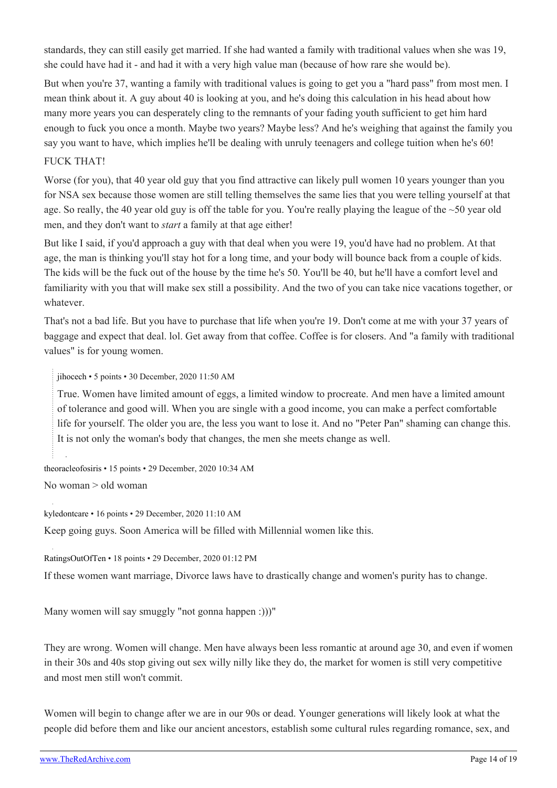standards, they can still easily get married. If she had wanted a family with traditional values when she was 19, she could have had it - and had it with a very high value man (because of how rare she would be).

But when you're 37, wanting a family with traditional values is going to get you a "hard pass" from most men. I mean think about it. A guy about 40 is looking at you, and he's doing this calculation in his head about how many more years you can desperately cling to the remnants of your fading youth sufficient to get him hard enough to fuck you once a month. Maybe two years? Maybe less? And he's weighing that against the family you say you want to have, which implies he'll be dealing with unruly teenagers and college tuition when he's 60!

### FUCK THAT!

Worse (for you), that 40 year old guy that you find attractive can likely pull women 10 years younger than you for NSA sex because those women are still telling themselves the same lies that you were telling yourself at that age. So really, the 40 year old guy is off the table for you. You're really playing the league of the ~50 year old men, and they don't want to *start* a family at that age either!

But like I said, if you'd approach a guy with that deal when you were 19, you'd have had no problem. At that age, the man is thinking you'll stay hot for a long time, and your body will bounce back from a couple of kids. The kids will be the fuck out of the house by the time he's 50. You'll be 40, but he'll have a comfort level and familiarity with you that will make sex still a possibility. And the two of you can take nice vacations together, or whatever.

That's not a bad life. But you have to purchase that life when you're 19. Don't come at me with your 37 years of baggage and expect that deal. lol. Get away from that coffee. Coffee is for closers. And "a family with traditional values" is for young women.

[jihocech](https://old.reddit.com/user/jihocech) • 5 points • 30 December, 2020 11:50 AM

True. Women have limited amount of eggs, a limited window to procreate. And men have a limited amount of tolerance and good will. When you are single with a good income, you can make a perfect comfortable life for yourself. The older you are, the less you want to lose it. And no "Peter Pan" shaming can change this. It is not only the woman's body that changes, the men she meets change as well.

[theoracleofosiris](https://old.reddit.com/user/theoracleofosiris) • 15 points • 29 December, 2020 10:34 AM

No woman > old woman

[kyledontcare](https://old.reddit.com/user/kyledontcare) • 16 points • 29 December, 2020 11:10 AM

Keep going guys. Soon America will be filled with Millennial women like this.

[RatingsOutOfTen](https://old.reddit.com/user/RatingsOutOfTen) • 18 points • 29 December, 2020 01:12 PM

If these women want marriage, Divorce laws have to drastically change and women's purity has to change.

Many women will say smuggly "not gonna happen :)))"

They are wrong. Women will change. Men have always been less romantic at around age 30, and even if women in their 30s and 40s stop giving out sex willy nilly like they do, the market for women is still very competitive and most men still won't commit.

Women will begin to change after we are in our 90s or dead. Younger generations will likely look at what the people did before them and like our ancient ancestors, establish some cultural rules regarding romance, sex, and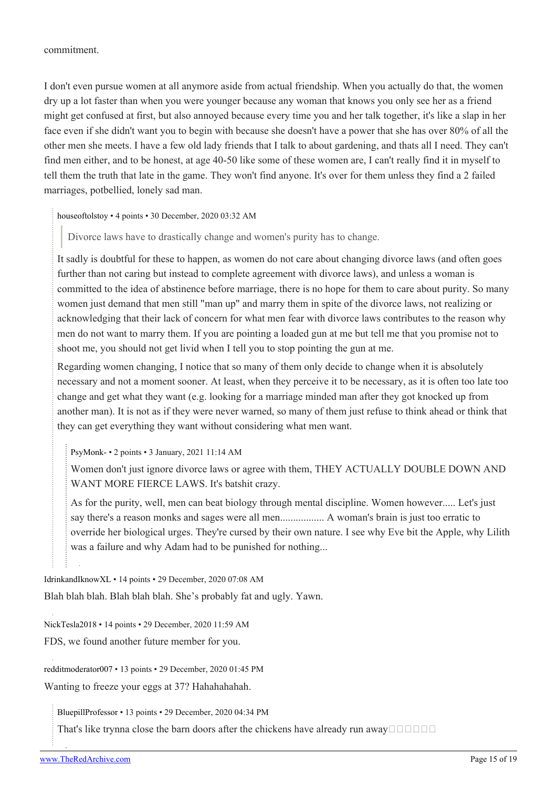commitment.

I don't even pursue women at all anymore aside from actual friendship. When you actually do that, the women dry up a lot faster than when you were younger because any woman that knows you only see her as a friend might get confused at first, but also annoyed because every time you and her talk together, it's like a slap in her face even if she didn't want you to begin with because she doesn't have a power that she has over 80% of all the other men she meets. I have a few old lady friends that I talk to about gardening, and thats all I need. They can't find men either, and to be honest, at age 40-50 like some of these women are, I can't really find it in myself to tell them the truth that late in the game. They won't find anyone. It's over for them unless they find a 2 failed marriages, potbellied, lonely sad man.

[houseoftolstoy](https://old.reddit.com/user/houseoftolstoy) • 4 points • 30 December, 2020 03:32 AM

Divorce laws have to drastically change and women's purity has to change.

It sadly is doubtful for these to happen, as women do not care about changing divorce laws (and often goes further than not caring but instead to complete agreement with divorce laws), and unless a woman is committed to the idea of abstinence before marriage, there is no hope for them to care about purity. So many women just demand that men still "man up" and marry them in spite of the divorce laws, not realizing or acknowledging that their lack of concern for what men fear with divorce laws contributes to the reason why men do not want to marry them. If you are pointing a loaded gun at me but tell me that you promise not to shoot me, you should not get livid when I tell you to stop pointing the gun at me.

Regarding women changing, I notice that so many of them only decide to change when it is absolutely necessary and not a moment sooner. At least, when they perceive it to be necessary, as it is often too late too change and get what they want (e.g. looking for a marriage minded man after they got knocked up from another man). It is not as if they were never warned, so many of them just refuse to think ahead or think that they can get everything they want without considering what men want.

[PsyMonk-](https://old.reddit.com/user/PsyMonk-) • 2 points • 3 January, 2021 11:14 AM

Women don't just ignore divorce laws or agree with them, THEY ACTUALLY DOUBLE DOWN AND WANT MORE FIERCE LAWS. It's batshit crazy.

As for the purity, well, men can beat biology through mental discipline. Women however..... Let's just say there's a reason monks and sages were all men................. A woman's brain is just too erratic to override her biological urges. They're cursed by their own nature. I see why Eve bit the Apple, why Lilith was a failure and why Adam had to be punished for nothing...

[IdrinkandIknowXL](https://old.reddit.com/user/IdrinkandIknowXL) • 14 points • 29 December, 2020 07:08 AM Blah blah blah. Blah blah blah. She's probably fat and ugly. Yawn.

[NickTesla2018](https://old.reddit.com/user/NickTesla2018) • 14 points • 29 December, 2020 11:59 AM

FDS, we found another future member for you.

[redditmoderator007](https://old.reddit.com/user/redditmoderator007) • 13 points • 29 December, 2020 01:45 PM

Wanting to freeze your eggs at 37? Hahahahahah.

[BluepillProfessor](https://old.reddit.com/user/BluepillProfessor) • 13 points • 29 December, 2020 04:34 PM

That's like trynna close the barn doors after the chickens have already run away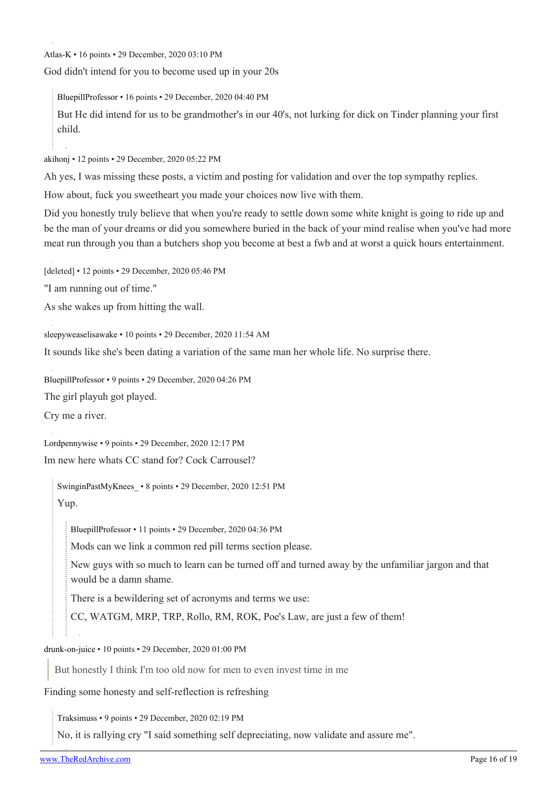[Atlas-K](https://old.reddit.com/user/Atlas-K) • 16 points • 29 December, 2020 03:10 PM

God didn't intend for you to become used up in your 20s

[BluepillProfessor](https://old.reddit.com/user/BluepillProfessor) • 16 points • 29 December, 2020 04:40 PM

But He did intend for us to be grandmother's in our 40's, not lurking for dick on Tinder planning your first child.

[akihonj](https://old.reddit.com/user/akihonj) • 12 points • 29 December, 2020 05:22 PM

Ah yes, I was missing these posts, a victim and posting for validation and over the top sympathy replies.

How about, fuck you sweetheart you made your choices now live with them.

Did you honestly truly believe that when you're ready to settle down some white knight is going to ride up and be the man of your dreams or did you somewhere buried in the back of your mind realise when you've had more meat run through you than a butchers shop you become at best a fwb and at worst a quick hours entertainment.

[deleted] • 12 points • 29 December, 2020 05:46 PM

"I am running out of time."

As she wakes up from hitting the wall.

[sleepyweaselisawake](https://old.reddit.com/user/sleepyweaselisawake) • 10 points • 29 December, 2020 11:54 AM

It sounds like she's been dating a variation of the same man her whole life. No surprise there.

[BluepillProfessor](https://old.reddit.com/user/BluepillProfessor) • 9 points • 29 December, 2020 04:26 PM

The girl playuh got played.

Cry me a river.

[Lordpennywise](https://old.reddit.com/user/Lordpennywise) • 9 points • 29 December, 2020 12:17 PM

Im new here whats CC stand for? Cock Carrousel?

[SwinginPastMyKnees\\_](https://old.reddit.com/user/SwinginPastMyKnees_) • 8 points • 29 December, 2020 12:51 PM

Yup.

[BluepillProfessor](https://old.reddit.com/user/BluepillProfessor) • 11 points • 29 December, 2020 04:36 PM

Mods can we link a common red pill terms section please.

New guys with so much to learn can be turned off and turned away by the unfamiliar jargon and that would be a damn shame.

There is a bewildering set of acronyms and terms we use:

CC, WATGM, MRP, TRP, Rollo, RM, ROK, Poe's Law, are just a few of them!

[drunk-on-juice](https://old.reddit.com/user/drunk-on-juice) • 10 points • 29 December, 2020 01:00 PM

But honestly I think I'm too old now for men to even invest time in me

Finding some honesty and self-reflection is refreshing

[Traksimuss](https://old.reddit.com/user/Traksimuss) • 9 points • 29 December, 2020 02:19 PM

No, it is rallying cry "I said something self depreciating, now validate and assure me".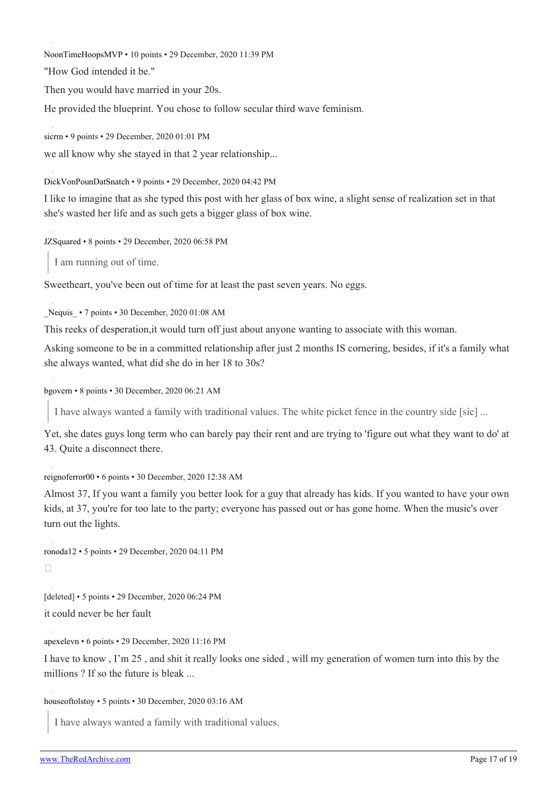[NoonTimeHoopsMVP](https://old.reddit.com/user/NoonTimeHoopsMVP) • 10 points • 29 December, 2020 11:39 PM

"How God intended it be."

Then you would have married in your 20s.

He provided the blueprint. You chose to follow secular third wave feminism.

[sicrm](https://old.reddit.com/user/sicrm) • 9 points • 29 December, 2020 01:01 PM

we all know why she stayed in that 2 year relationship...

[DickVonPounDatSnatch](https://old.reddit.com/user/DickVonPounDatSnatch) • 9 points • 29 December, 2020 04:42 PM

I like to imagine that as she typed this post with her glass of box wine, a slight sense of realization set in that she's wasted her life and as such gets a bigger glass of box wine.

[JZSquared](https://old.reddit.com/user/JZSquared) • 8 points • 29 December, 2020 06:58 PM

I am running out of time.

Sweetheart, you've been out of time for at least the past seven years. No eggs.

Nequis • 7 points • 30 December, 2020 01:08 AM

This reeks of desperation,it would turn off just about anyone wanting to associate with this woman.

Asking someone to be in a committed relationship after just 2 months IS cornering, besides, if it's a family what she always wanted, what did she do in her 18 to 30s?

[bgovern](https://old.reddit.com/user/bgovern) • 8 points • 30 December, 2020 06:21 AM

I have always wanted a family with traditional values. The white picket fence in the country side [sic] ...

Yet, she dates guys long term who can barely pay their rent and are trying to 'figure out what they want to do' at 43. Quite a disconnect there.

[reignoferror00](https://old.reddit.com/user/reignoferror00) • 6 points • 30 December, 2020 12:38 AM

Almost 37, If you want a family you better look for a guy that already has kids. If you wanted to have your own kids, at 37, you're for too late to the party; everyone has passed out or has gone home. When the music's over turn out the lights.

[ronoda12](https://old.reddit.com/user/ronoda12) • 5 points • 29 December, 2020 04:11 PM  $\Box$ 

[deleted] • 5 points • 29 December, 2020 06:24 PM it could never be her fault

[apexelevn](https://old.reddit.com/user/apexelevn) • 6 points • 29 December, 2020 11:16 PM

I have to know , I'm 25 , and shit it really looks one sided , will my generation of women turn into this by the millions ? If so the future is bleak ...

[houseoftolstoy](https://old.reddit.com/user/houseoftolstoy) • 5 points • 30 December, 2020 03:16 AM

I have always wanted a family with traditional values.